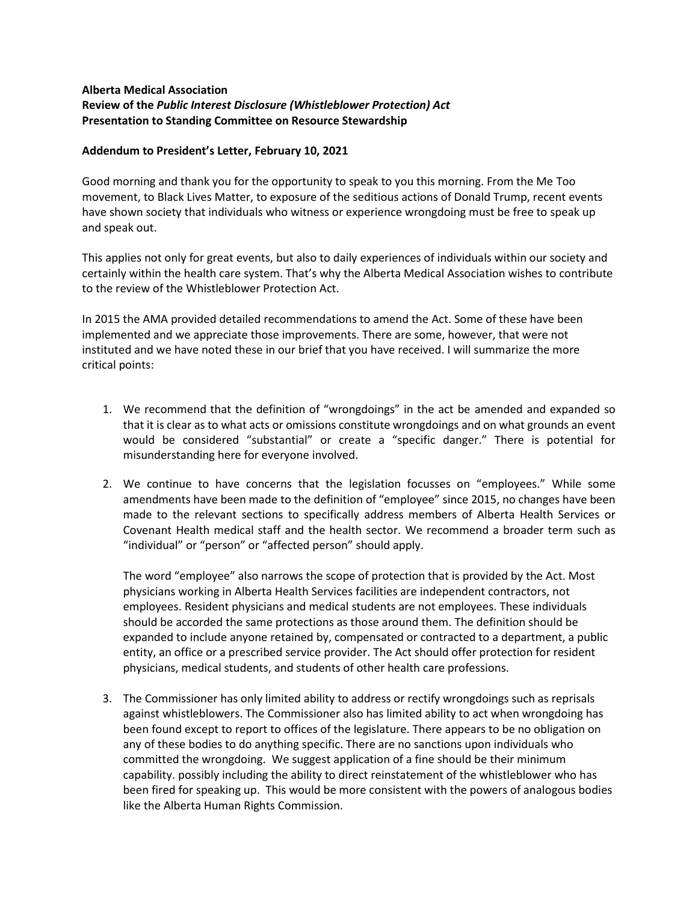## **Alberta Medical Association Review of the** *Public Interest Disclosure (Whistleblower Protection) Act* **Presentation to Standing Committee on Resource Stewardship**

## **Addendum to President's Letter, February 10, 2021**

Good morning and thank you for the opportunity to speak to you this morning. From the Me Too movement, to Black Lives Matter, to exposure of the seditious actions of Donald Trump, recent events have shown society that individuals who witness or experience wrongdoing must be free to speak up and speak out.

This applies not only for great events, but also to daily experiences of individuals within our society and certainly within the health care system. That's why the Alberta Medical Association wishes to contribute to the review of the Whistleblower Protection Act.

In 2015 the AMA provided detailed recommendations to amend the Act. Some of these have been implemented and we appreciate those improvements. There are some, however, that were not instituted and we have noted these in our brief that you have received. I will summarize the more critical points:

- 1. We recommend that the definition of "wrongdoings" in the act be amended and expanded so that it is clear as to what acts or omissions constitute wrongdoings and on what grounds an event would be considered "substantial" or create a "specific danger." There is potential for misunderstanding here for everyone involved.
- 2. We continue to have concerns that the legislation focusses on "employees." While some amendments have been made to the definition of "employee" since 2015, no changes have been made to the relevant sections to specifically address members of Alberta Health Services or Covenant Health medical staff and the health sector. We recommend a broader term such as "individual" or "person" or "affected person" should apply.

The word "employee" also narrows the scope of protection that is provided by the Act. Most physicians working in Alberta Health Services facilities are independent contractors, not employees. Resident physicians and medical students are not employees. These individuals should be accorded the same protections as those around them. The definition should be expanded to include anyone retained by, compensated or contracted to a department, a public entity, an office or a prescribed service provider. The Act should offer protection for resident physicians, medical students, and students of other health care professions.

3. The Commissioner has only limited ability to address or rectify wrongdoings such as reprisals against whistleblowers. The Commissioner also has limited ability to act when wrongdoing has been found except to report to offices of the legislature. There appears to be no obligation on any of these bodies to do anything specific. There are no sanctions upon individuals who committed the wrongdoing. We suggest application of a fine should be their minimum capability. possibly including the ability to direct reinstatement of the whistleblower who has been fired for speaking up. This would be more consistent with the powers of analogous bodies like the Alberta Human Rights Commission.